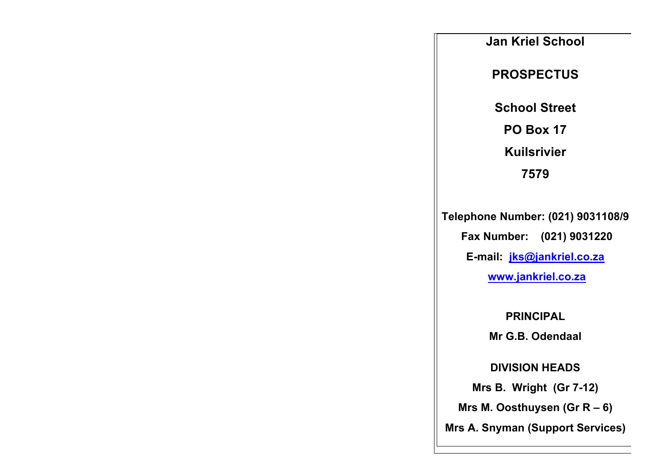**Jan Kriel School PROSPECTUS School Street PO Box 17 Kuilsrivier 7579**

**Telephone Number: (021) 9031108/9 Fax Number: (021) 9031220 E-mail: jks@jankriel.co.za www.jankriel.co.za**

**PRINCIPAL**

**Mr G.B. Odendaal**

**DIVISION HEADS**

**Mrs B. Wright (Gr 7-12)**

**Mrs M. Oosthuysen (Gr R – 6)**

**Mrs A. Snyman (Support Services)**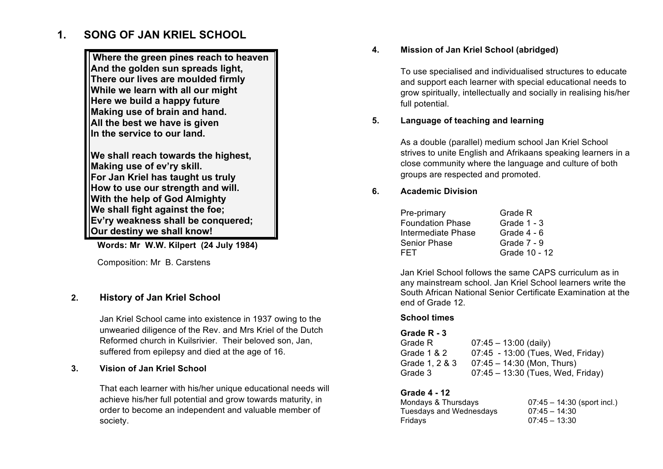# **1. SONG OF JAN KRIEL SCHOOL**

**Where the green pines reach to heaven And the golden sun spreads light, There our lives are moulded firmly While we learn with all our might Here we build a happy future Making use of brain and hand. All the best we have is given In the service to our land.**

**We shall reach towards the highest, Making use of ev'ry skill. For Jan Kriel has taught us truly How to use our strength and will. With the help of God Almighty We shall fight against the foe; Ev'ry weakness shall be conquered; Our destiny we shall know!**

**Words: Mr W.W. Kilpert (24 July 1984)**

Composition: Mr B. Carstens

# **2. History of Jan Kriel School**

Jan Kriel School came into existence in 1937 owing to the unwearied diligence of the Rev. and Mrs Kriel of the Dutch Reformed church in Kuilsrivier. Their beloved son, Jan, suffered from epilepsy and died at the age of 16.

#### **3. Vision of Jan Kriel School**

That each learner with his/her unique educational needs will achieve his/her full potential and grow towards maturity, in order to become an independent and valuable member of society.

#### **4. Mission of Jan Kriel School (abridged)**

To use specialised and individualised structures to educate and support each learner with special educational needs to grow spiritually, intellectually and socially in realising his/her full potential.

#### **5. Language of teaching and learning**

As a double (parallel) medium school Jan Kriel School strives to unite English and Afrikaans speaking learners in a close community where the language and culture of both groups are respected and promoted.

#### **6. Academic Division**

| Pre-primary             | Grade R       |
|-------------------------|---------------|
| <b>Foundation Phase</b> | Grade $1 - 3$ |
| Intermediate Phase      | Grade $4 - 6$ |
| Senior Phase            | Grade 7 - 9   |
| FET                     | Grade 10 - 12 |

Jan Kriel School follows the same CAPS curriculum as in any mainstream school. Jan Kriel School learners write the South African National Senior Certificate Examination at the end of Grade 12.

#### **School times**

#### **Grade R - 3** Grade R 07:45 – 13:00 (daily) Grade 1 & 2 07:45 - 13:00 (Tues, Wed, Friday) Grade 1, 2 & 3 07:45 – 14:30 (Mon, Thurs) Grade 3 07:45 – 13:30 (Tues, Wed, Friday)

#### **Grade 4 - 12**

Mondays & Thursdays 07:45 – 14:30 (sport incl.) Tuesdays and Wednesdays 07:45 – 14:30 Fridays 07:45 – 13:30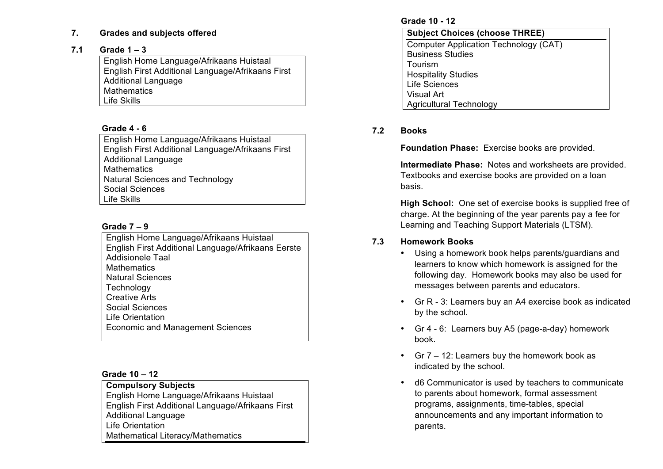#### **7. Grades and subjects offered**

#### **7.1 Grade 1 – 3**

English Home Language/Afrikaans Huistaal English First Additional Language/Afrikaans First Additional Language **Mathematics** Life Skills

# **Grade 4 - 6**

English Home Language/Afrikaans Huistaal English First Additional Language/Afrikaans First Additional Language **Mathematics** Natural Sciences and Technology Social Sciences Life Skills

#### **Grade 7 – 9**

English Home Language/Afrikaans Huistaal English First Additional Language/Afrikaans Eerste Addisionele Taal **Mathematics** Natural Sciences **Technology** Creative Arts Social Sciences Life Orientation Economic and Management Sciences

#### **Grade 10 – 12**

**Compulsory Subjects** English Home Language/Afrikaans Huistaal English First Additional Language/Afrikaans First Additional Language Life Orientation Mathematical Literacy/Mathematics

#### **Grade 10 - 12**

| <b>Subject Choices (choose THREE)</b>        |  |
|----------------------------------------------|--|
| <b>Computer Application Technology (CAT)</b> |  |
| <b>Business Studies</b>                      |  |
| Tourism                                      |  |
| <b>Hospitality Studies</b>                   |  |
| <b>Life Sciences</b>                         |  |
| <b>Visual Art</b>                            |  |
| <b>Agricultural Technology</b>               |  |

# **7.2 Books**

**Foundation Phase:** Exercise books are provided.

**Intermediate Phase:** Notes and worksheets are provided. Textbooks and exercise books are provided on a loan basis.

**High School:** One set of exercise books is supplied free of charge. At the beginning of the year parents pay a fee for Learning and Teaching Support Materials (LTSM).

# **7.3 Homework Books**

- Using a homework book helps parents/guardians and learners to know which homework is assigned for the following day. Homework books may also be used for messages between parents and educators.
- Gr R 3: Learners buy an A4 exercise book as indicated by the school.
- Gr 4 6: Learners buy A5 (page-a-day) homework book.
- Gr 7 12: Learners buy the homework book as indicated by the school.
- d6 Communicator is used by teachers to communicate to parents about homework, formal assessment programs, assignments, time-tables, special announcements and any important information to parents.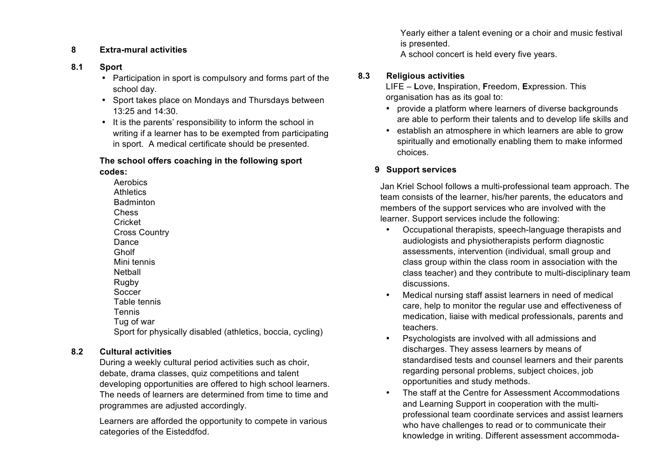### **8 Extra-mural activities**

#### **8.1 Sport**

- Participation in sport is compulsory and forms part of the school day.
- Sport takes place on Mondays and Thursdays between 13:25 and 14:30.
- It is the parents' responsibility to inform the school in writing if a learner has to be exempted from participating in sport. A medical certificate should be presented.

# **The school offers coaching in the following sport codes:**

Aerobics **Athletics Badminton** Chess Cricket Cross Country Dance Gholf Mini tennis **Netball** Rugby **Soccer** Table tennis Tennis Tug of war Sport for physically disabled (athletics, boccia, cycling)

# **8.2 Cultural activities**

During a weekly cultural period activities such as choir, debate, drama classes, quiz competitions and talent developing opportunities are offered to high school learners. The needs of learners are determined from time to time and programmes are adjusted accordingly.

Learners are afforded the opportunity to compete in various categories of the Eisteddfod.

Yearly either a talent evening or a choir and music festival is presented.

A school concert is held every five years.

# **8.3 Religious activities**

LIFE – **L**ove, **I**nspiration, **F**reedom, **E**xpression. This organisation has as its goal to:

- provide a platform where learners of diverse backgrounds are able to perform their talents and to develop life skills and
- establish an atmosphere in which learners are able to grow spiritually and emotionally enabling them to make informed choices.

# **9 Support services**

Jan Kriel School follows a multi-professional team approach. The team consists of the learner, his/her parents, the educators and members of the support services who are involved with the learner. Support services include the following:

- Occupational therapists, speech-language therapists and audiologists and physiotherapists perform diagnostic assessments, intervention (individual, small group and class group within the class room in association with the class teacher) and they contribute to multi-disciplinary team discussions.
- Medical nursing staff assist learners in need of medical care, help to monitor the regular use and effectiveness of medication, liaise with medical professionals, parents and teachers.
- Psychologists are involved with all admissions and discharges. They assess learners by means of standardised tests and counsel learners and their parents regarding personal problems, subject choices, job opportunities and study methods.
- The staff at the Centre for Assessment Accommodations and Learning Support in cooperation with the multiprofessional team coordinate services and assist learners who have challenges to read or to communicate their knowledge in writing. Different assessment accommoda-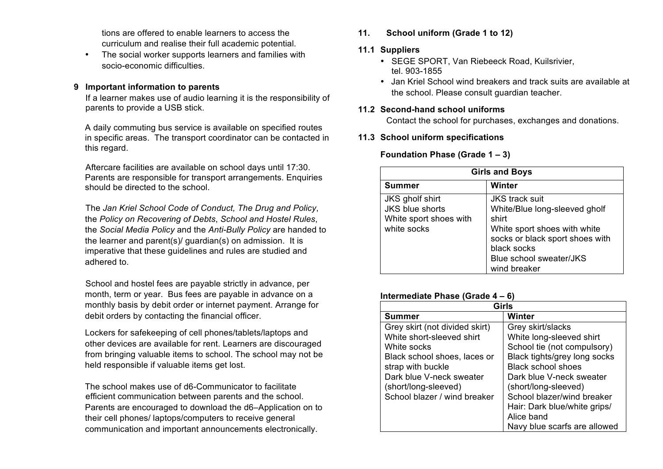tions are offered to enable learners to access the curriculum and realise their full academic potential.

• The social worker supports learners and families with socio-economic difficulties.

#### **9 Important information to parents**

If a learner makes use of audio learning it is the responsibility of parents to provide a USB stick.

A daily commuting bus service is available on specified routes in specific areas. The transport coordinator can be contacted in this regard.

Aftercare facilities are available on school days until 17:30. Parents are responsible for transport arrangements. Enquiries should be directed to the school.

The *Jan Kriel School Code of Conduct, The Drug and Policy*, the *Policy on Recovering of Debts*, *School and Hostel Rules*, the *Social Media Policy* and the *Anti-Bully Policy* are handed to the learner and parent(s)/ guardian(s) on admission. It is imperative that these guidelines and rules are studied and adhered to.

School and hostel fees are payable strictly in advance, per month, term or year. Bus fees are payable in advance on a monthly basis by debit order or internet payment. Arrange for debit orders by contacting the financial officer.

Lockers for safekeeping of cell phones/tablets/laptops and other devices are available for rent. Learners are discouraged from bringing valuable items to school. The school may not be held responsible if valuable items get lost.

The school makes use of d6-Communicator to facilitate efficient communication between parents and the school. Parents are encouraged to download the d6–Application on to their cell phones/ laptops/computers to receive general communication and important announcements electronically.

**11. School uniform (Grade 1 to 12)**

#### **11.1 Suppliers**

- SEGE SPORT, Van Riebeeck Road, Kuilsrivier, tel. 903-1855
- Jan Kriel School wind breakers and track suits are available at the school. Please consult guardian teacher.

# **11.2 Second-hand school uniforms**

Contact the school for purchases, exchanges and donations.

#### **11.3 School uniform specifications**

#### **Foundation Phase (Grade 1 – 3)**

| <b>Girls and Boys</b>                                                       |                                                                                                                                                                              |  |
|-----------------------------------------------------------------------------|------------------------------------------------------------------------------------------------------------------------------------------------------------------------------|--|
| Summer                                                                      | Winter                                                                                                                                                                       |  |
| JKS gholf shirt<br>JKS blue shorts<br>White sport shoes with<br>white socks | <b>JKS</b> track suit<br>White/Blue long-sleeved gholf<br>shirt<br>White sport shoes with white<br>socks or black sport shoes with<br>black socks<br>Blue school sweater/JKS |  |
|                                                                             | wind breaker                                                                                                                                                                 |  |

#### **Intermediate Phase (Grade 4 – 6)**

| Girls                          |                              |
|--------------------------------|------------------------------|
| Summer                         | Winter                       |
| Grey skirt (not divided skirt) | Grey skirt/slacks            |
| White short-sleeved shirt      | White long-sleeved shirt     |
| White socks                    | School tie (not compulsory)  |
| Black school shoes, laces or   | Black tights/grey long socks |
| strap with buckle              | <b>Black school shoes</b>    |
| Dark blue V-neck sweater       | Dark blue V-neck sweater     |
| (short/long-sleeved)           | (short/long-sleeved)         |
| School blazer / wind breaker   | School blazer/wind breaker   |
|                                | Hair: Dark blue/white grips/ |
|                                | Alice band                   |
|                                | Navy blue scarfs are allowed |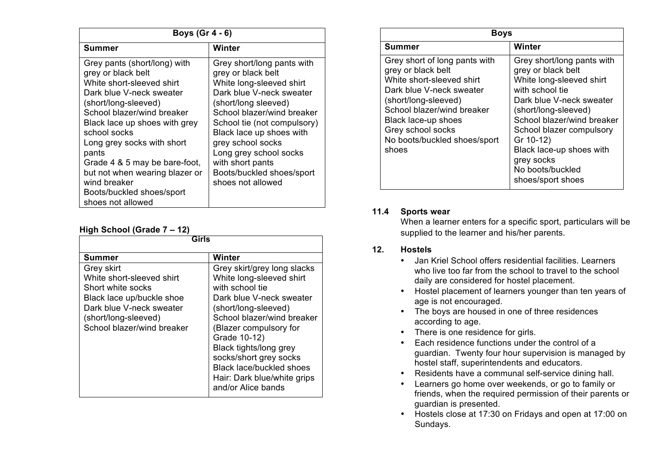| Boys $(Gr 4 - 6)$                                                                                                                                                                                                                                                                                                                                                                              |                                                                                                                                                                                                                                                                                                                                                |
|------------------------------------------------------------------------------------------------------------------------------------------------------------------------------------------------------------------------------------------------------------------------------------------------------------------------------------------------------------------------------------------------|------------------------------------------------------------------------------------------------------------------------------------------------------------------------------------------------------------------------------------------------------------------------------------------------------------------------------------------------|
| Summer                                                                                                                                                                                                                                                                                                                                                                                         | Winter                                                                                                                                                                                                                                                                                                                                         |
| Grey pants (short/long) with<br>grey or black belt<br>White short-sleeved shirt<br>Dark blue V-neck sweater<br>(short/long-sleeved)<br>School blazer/wind breaker<br>Black lace up shoes with grey<br>school socks<br>Long grey socks with short<br>pants<br>Grade 4 & 5 may be bare-foot,<br>but not when wearing blazer or<br>wind breaker<br>Boots/buckled shoes/sport<br>shoes not allowed | Grey short/long pants with<br>grey or black belt<br>White long-sleeved shirt<br>Dark blue V-neck sweater<br>(short/long sleeved)<br>School blazer/wind breaker<br>School tie (not compulsory)<br>Black lace up shoes with<br>grey school socks<br>Long grey school socks<br>with short pants<br>Boots/buckled shoes/sport<br>shoes not allowed |

#### **High School (Grade 7 – 12)**

| Girls                                                                                                                                                                       |                                                                                                                                                                                                                                                                                                                                                    |  |
|-----------------------------------------------------------------------------------------------------------------------------------------------------------------------------|----------------------------------------------------------------------------------------------------------------------------------------------------------------------------------------------------------------------------------------------------------------------------------------------------------------------------------------------------|--|
| Summer                                                                                                                                                                      | Winter                                                                                                                                                                                                                                                                                                                                             |  |
| Grey skirt<br>White short-sleeved shirt<br>Short white socks<br>Black lace up/buckle shoe<br>Dark blue V-neck sweater<br>(short/long-sleeved)<br>School blazer/wind breaker | Grey skirt/grey long slacks<br>White long-sleeved shirt<br>with school tie<br>Dark blue V-neck sweater<br>(short/long-sleeved)<br>School blazer/wind breaker<br>(Blazer compulsory for<br>Grade 10-12)<br>Black tights/long grey<br>socks/short grey socks<br><b>Black lace/buckled shoes</b><br>Hair: Dark blue/white grips<br>and/or Alice bands |  |

| <b>Boys</b>                                                                                                                                                                                                                                             |                                                                                                                                                                                                                                                                                                               |
|---------------------------------------------------------------------------------------------------------------------------------------------------------------------------------------------------------------------------------------------------------|---------------------------------------------------------------------------------------------------------------------------------------------------------------------------------------------------------------------------------------------------------------------------------------------------------------|
| Summer                                                                                                                                                                                                                                                  | Winter                                                                                                                                                                                                                                                                                                        |
| Grey short of long pants with<br>grey or black belt<br>White short-sleeved shirt<br>Dark blue V-neck sweater<br>(short/long-sleeved)<br>School blazer/wind breaker<br>Black lace-up shoes<br>Grey school socks<br>No boots/buckled shoes/sport<br>shoes | Grey short/long pants with<br>grey or black belt<br>White long-sleeved shirt<br>with school tie<br>Dark blue V-neck sweater<br>(short/long-sleeved)<br>School blazer/wind breaker<br>School blazer compulsory<br>Gr 10-12)<br>Black lace-up shoes with<br>grey socks<br>No boots/buckled<br>shoes/sport shoes |

# **11.4 Sports wear**

When a learner enters for a specific sport, particulars will be supplied to the learner and his/her parents.

#### **12. Hostels**

- Jan Kriel School offers residential facilities. Learners who live too far from the school to travel to the school daily are considered for hostel placement.
- Hostel placement of learners younger than ten years of age is not encouraged.
- The boys are housed in one of three residences according to age.
- There is one residence for girls.
- Each residence functions under the control of a guardian. Twenty four hour supervision is managed by hostel staff, superintendents and educators.
- Residents have a communal self-service dining hall.
- Learners go home over weekends, or go to family or friends, when the required permission of their parents or guardian is presented.
- Hostels close at 17:30 on Fridays and open at 17:00 on Sundays.